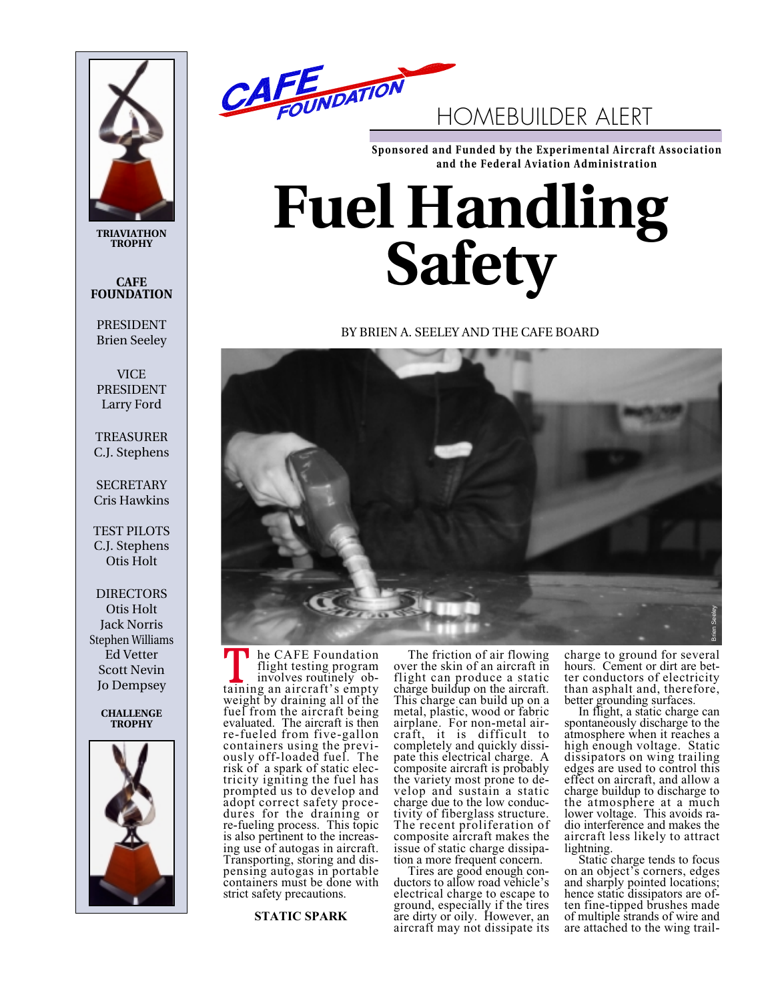

**TRIAVIATHON TROPHY**

# **CAFE FOUNDATION**

PRESIDENT Brien Seeley

**VICE** PRESIDENT Larry Ford

TREASURER C.J. Stephens

**SECRETARY** Cris Hawkins

TEST PILOTS C.J. Stephens Otis Holt

**DIRECTORS** Otis Holt Jack Norris Stephen Williams Ed Vetter Scott Nevin Jo Dempsey

> **CHALLENGE TROPHY**





**Sponsored and Funded by the Experimental Aircraft Association and the Federal Aviation Administration**

# **Fuel Handling Safety**

BY BRIEN A. SEELEY AND THE CAFE BOARD



he CAFE Foundation flight testing program<br>involves routinely ob-In the CAFE Foundation<br>flight testing program<br>involves routinely ob-<br>taining an aircraft's empty weight by draining all of the fuel from the aircraft being evaluated. The aircraft is then re-fueled from five-gallon containers using the previously off-loaded fuel. The risk of a spark of static electricity igniting the fuel has prompted us to develop and adopt correct safety procedures for the draining or re-fueling process. This topic is also pertinent to the increasing use of autogas in aircraft. Transporting, storing and dispensing autogas in portable containers must be done with strict safety precautions.

**STATIC SPARK**

The friction of air flowing over the skin of an aircraft in flight can produce a static charge buildup on the aircraft. This charge can build up on a metal, plastic, wood or fabric airplane. For non-metal aircraft, it is difficult to completely and quickly dissipate this electrical charge. A composite aircraft is probably the variety most prone to develop and sustain a static charge due to the low conductivity of fiberglass structure. The recent proliferation of composite aircraft makes the issue of static charge dissipa-<br>tion a more frequent concern.

Tires are good enough con-<br>ductors to allow road vehicle's electrical charge to escape to ground, especially if the tires are dirty or oily. However, an aircraft may not dissipate its

charge to ground for several hours. Cement or dirt are better conductors of electricity than asphalt and, therefore,

better grounding surfaces. In flight, a static charge can spontaneously discharge to the atmosphere when it reaches a high enough voltage. Static dissipators on wing trailing edges are used to control this effect on aircraft, and allow a charge buildup to discharge to the atmosphere at a much lower voltage. This avoids radio interference and makes the aircraft less likely to attract

lightning. Static charge tends to focus on an object's corners, edges and sharply pointed locations; hence static dissipators are often fine-tipped brushes made of multiple strands of wire and are attached to the wing trail-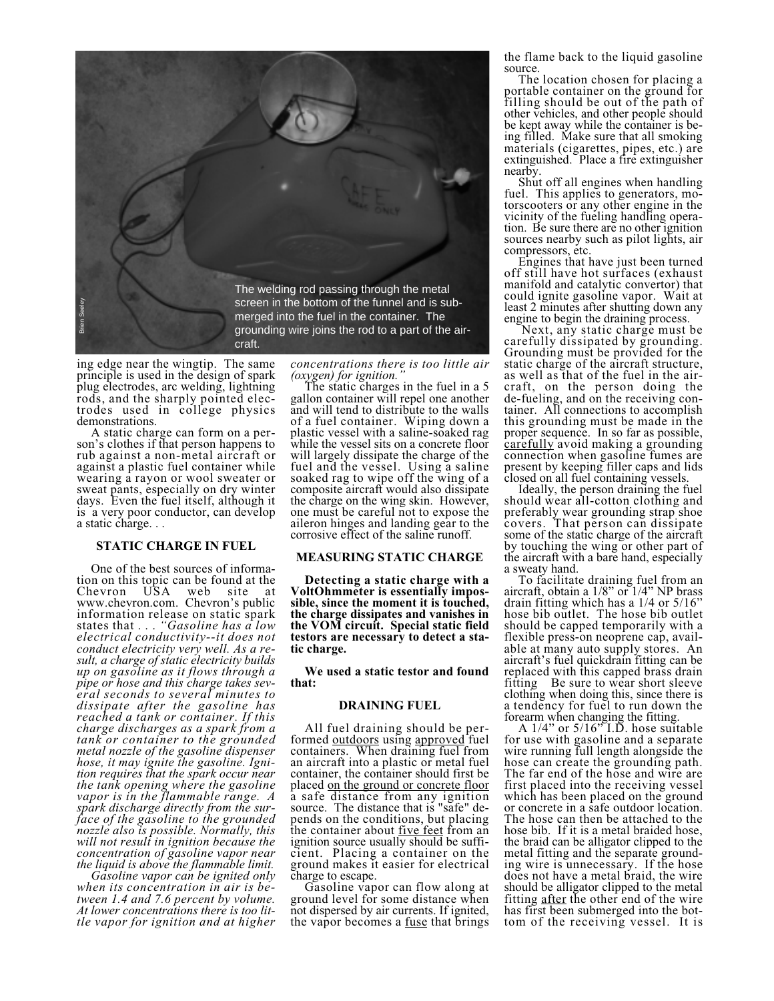

ing edge near the wingtip. The same principle is used in the design of spark plug electrodes, arc welding, lightning rods, and the sharply pointed electrodes used in college physics demonstrations.<br>A static charge can form on a per-

son's clothes if that person happens to rub against a non-metal aircraft or against a plastic fuel container while wearing a rayon or wool sweater or sweat pants, especially on dry winter days. Even the fuel itself, although it is a very poor conductor, can develop a static charge. . .

# **STATIC CHARGE IN FUEL**

One of the best sources of information on this topic can be found at the<br>Chevron USA web site at Chevron USA web site at www.chevron.com. Chevron's public information release on static spark states that . . . *"Gasoline has a low electrical conductivity--it does not conduct electricity very well. As a result, a charge of static electricity builds up on gasoline as it flows through a pipe or hose and this charge takes several seconds to several minutes to dissipate after the gasoline has reached a tank or container. If this charge discharges as a spark from a tank or container to the grounded metal nozzle of the gasoline dispenser hose, it may ignite the gasoline. Ignition requires that the spark occur near the tank opening where the gasoline vapor is in the flammable range. A spark discharge directly from the surface of the gasoline to the grounded nozzle also is possible. Normally, this will not result in ignition because the concentration of gasoline vapor near*

*the liquid is above the flammable limit. Gasoline vapor can be ignited only when its concentration in air is between 1.4 and 7.6 percent by volume. At lower concentrations there is too little vapor for ignition and at higher* *concentrations there is too little air*

The static charges in the fuel in a 5 gallon container will repel one another and will tend to distribute to the walls of a fuel container. Wiping down a plastic vessel with a saline-soaked rag while the vessel sits on a concrete floor will largely dissipate the charge of the fuel and the vessel. Using a saline soaked rag to wipe off the wing of a composite aircraft would also dissipate the charge on the wing skin. However, one must be careful not to expose the aileron hinges and landing gear to the corrosive effect of the saline runoff.

# **MEASURING STATIC CHARGE**

**Detecting a static charge with a VoltOhmmeter is essentially impossible, since the moment it is touched, the charge dissipates and vanishes in the VOM circuit. Special static field testors are necessary to detect a static charge.**

**We used a static testor and found that:**

#### **DRAINING FUEL**

All fuel draining should be per-<br>formed <u>outdoors</u> using approved fuel containers. When draining fuel from an aircraft into a plastic or metal fuel container, the container should first be placed on the ground or concrete floor a safe distance from any ignition source. The distance that is "safe" depends on the conditions, but placing the container about <u>five feet</u> from an ignition source usually should be sufficient. Placing a container on the ground makes it easier for electrical

charge to escape. Gasoline vapor can flow along at ground level for some distance when not dispersed by air currents. If ignited, the vapor becomes a <u>fuse</u> that brings the flame back to the liquid gasoline source.

The location chosen for placing a portable container on the ground for filling should be out of the path of other vehicles, and other people should be kept away while the container is being filled. Make sure that all smoking materials (cigarettes, pipes, etc.) are extinguished. Place a fire extinguisher

nearby. Shut off all engines when handling fuel. This applies to generators, motorscooters or any other engine in the vicinity of the fueling handling operation. Be sure there are no other ignition sources nearby such as pilot lights, air

compressors, etc. Engines that have just been turned off still have hot surfaces (exhaust manifold and catalytic convertor) that could ignite gasoline vapor. Wait at least 2 minutes after shutting down any

engine to begin the draining process. Next, any static charge must be carefully dissipated by grounding. Grounding must be provided for the static charge of the aircraft structure, as well as that of the fuel in the aircraft, on the person doing the de-fueling, and on the receiving container. All connections to accomplish this grounding must be made in the proper sequence. In so far as possible, carefully avoid making a grounding connection when gasoline fumes are present by keeping filler caps and lids closed on all fuel containing vessels.

Ideally, the person draining the fuel should wear all-cotton clothing and preferably wear grounding strap shoe covers. That person can dissipate some of the static charge of the aircraft by touching the wing or other part of the aircraft with a bare hand, especially

a sweaty hand. To facilitate draining fuel from an aircraft, obtain a 1/8" or 1/4" NP brass drain fitting which has a 1/4 or 5/16" hose bib outlet. The hose bib outlet should be capped temporarily with a flexible press-on neoprene cap, available at many auto supply stores. An aircraft's fuel quickdrain fitting can be replaced with this capped brass drain fitting Be sure to wear short sleeve clothing when doing this, since there is a tendency for fuel to run down the

forearm when changing the fitting. A 1/4" or 5/16" I.D. hose suitable for use with gasoline and a separate wire running full length alongside the hose can create the grounding path. The far end of the hose and wire are first placed into the receiving vessel which has been placed on the ground or concrete in a safe outdoor location. The hose can then be attached to the hose bib. If it is a metal braided hose, the braid can be alligator clipped to the metal fitting and the separate grounding wire is unnecessary. If the hose does not have a metal braid, the wire should be alligator clipped to the metal fitting after the other end of the wire has first been submerged into the bottom of the receiving vessel. It is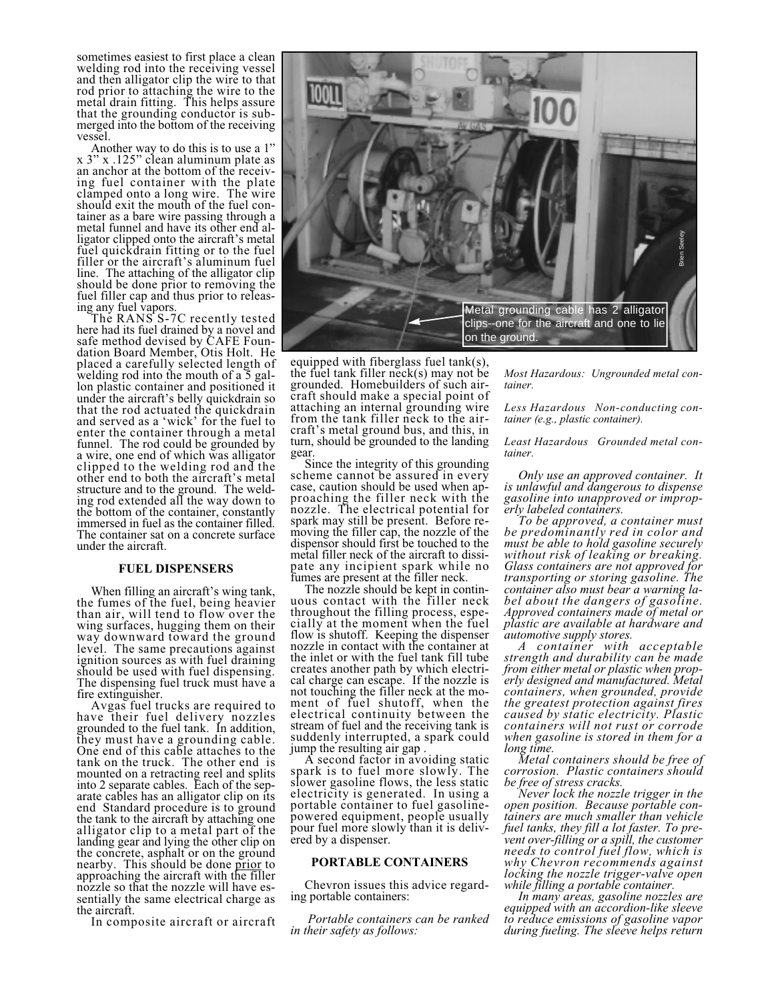sometimes easiest to first place a clean welding rod into the receiving vessel and then alligator clip the wire to that rod prior to attaching the wire to the metal drain fitting. This helps assure that the grounding conductor is submerged into the bottom of the receiving vessel.

Another way to do this is to use a 1" x 3" x .125" clean aluminum plate as an anchor at the bottom of the receiving fuel container with the plate clamped onto a long wire. The wire should exit the mouth of the fuel container as a bare wire passing through a metal funnel and have its other end alligator clipped onto the aircraft's metal fuel quickdrain fitting or to the fuel filler or the aircraft's aluminum fuel line. The attaching of the alligator clip should be done prior to removing the fuel filler cap and thus prior to releas-

ing any fuel vapors. The RANS S-7C recently tested here had its fuel drained by a novel and safe method devised by CAFE Foundation Board Member, Otis Holt. He placed a carefully selected length of welding rod into the mouth of a 5 gallon plastic container and positioned it under the aircraft's belly quickdrain so that the rod actuated the quickdrain and served as a 'wick' for the fuel to enter the container through a metal funnel. The rod could be grounded by a wire, one end of which was alligator clipped to the welding rod and the other end to both the aircraft's metal structure and to the ground. The welding rod extended all the way down to the bottom of the container, constantly immersed in fuel as the container filled. The container sat on a concrete surface under the aircraft.

## **FUEL DISPENSERS**

When filling an aircraft's wing tank, the fumes of the fuel, being heavier than air, will tend to flow over the wing surfaces, hugging them on their way downward toward the ground level. The same precautions against ignition sources as with fuel draining should be used with fuel dispensing. The dispensing fuel truck must have a

fire extinguisher. Avgas fuel trucks are required to have their fuel delivery nozzles grounded to the fuel tank. In addition, they must have a grounding cable. One end of this cable attaches to the tank on the truck. The other end is mounted on a retracting reel and splits into 2 separate cables. Each of the separate cables has an alligator clip on its end Standard procedure is to ground the tank to the aircraft by attaching one alligator clip to a metal part of the landing gear and lying the other clip on the concrete, asphalt or on the ground nearby. This should be done prior to approaching the aircraft with the filler nozzle so that the nozzle will have essentially the same electrical charge as the aircraft.

In composite aircraft or aircraft



equipped with fiberglass fuel tank(s), the fuel tank filler  $neck(s)$  may not be grounded. Homebuilders of such aircraft should make a special point of attaching an internal grounding wire from the tank filler neck to the aircraft's metal ground bus, and this, in turn, should be grounded to the landing

gear. Since the integrity of this grounding scheme cannot be assured in every case, caution should be used when approaching the filler neck with the nozzle. The electrical potential for spark may still be present. Before removing the filler cap, the nozzle of the dispensor should first be touched to the metal filler neck of the aircraft to dissipate any incipient spark while no<br>fumes are present at the filler neck.

The nozzle should be kept in contin-<br>uous contact with the filler neck. throughout the filling process, especially at the moment when the fuel flow is shutoff. Keeping the dispenser nozzle in contact with the container at the inlet or with the fuel tank fill tube creates another path by which electrical charge can escape. If the nozzle is not touching the filler neck at the moment of fuel shutoff, when the electrical continuity between the stream of fuel and the receiving tank is suddenly interrupted, a spark could

jump the resulting air gap . A second factor in avoiding static spark is to fuel more slowly. The slower gasoline flows, the less static electricity is generated. In using a portable container to fuel gasolinepowered equipment, people usually pour fuel more slowly than it is delivered by a dispenser.

# **PORTABLE CONTAINERS**

Chevron issues this advice regard-<br>ing portable containers:

*Portable containers can be ranked in their safety as follows:*

*Most Hazardous: Ungrounded metal container.*

*Less Hazardous Non-conducting container (e.g., plastic container).*

*Least Hazardous Grounded metal container.*

*Only use an approved container. It is unlawful and dangerous to dispense gasoline into unapproved or improp-*

*Fo be approved, a container must be predominantly red in color and must be able to hold gasoline securely without risk of leaking or breaking. Glass containers are not approved for transporting or storing gasoline. The container also must bear a warning label about the dangers of gasoline. Approved containers made of metal or plastic are available at hardware and*

*automotive supply stores. A container with acceptable strength and durability can be made from either metal or plastic when properly designed and manufactured. Metal containers, when grounded, provide the greatest protection against fires caused by static electricity. Plastic containers will not rust or corrode when gasoline is stored in them for a*

*long time. Metal containers should be free of corrosion. Plastic containers should*

*be free of stress cracks. Never lock the nozzle trigger in the open position. Because portable containers are much smaller than vehicle fuel tanks, they fill a lot faster. To prevent over-filling or a spill, the customer needs to control fuel flow, which is why Chevron recommends against locking the nozzle trigger-valve open*

*while filling a portable container. In many areas, gasoline nozzles are equipped with an accordion-like sleeve to reduce emissions of gasoline vapor*